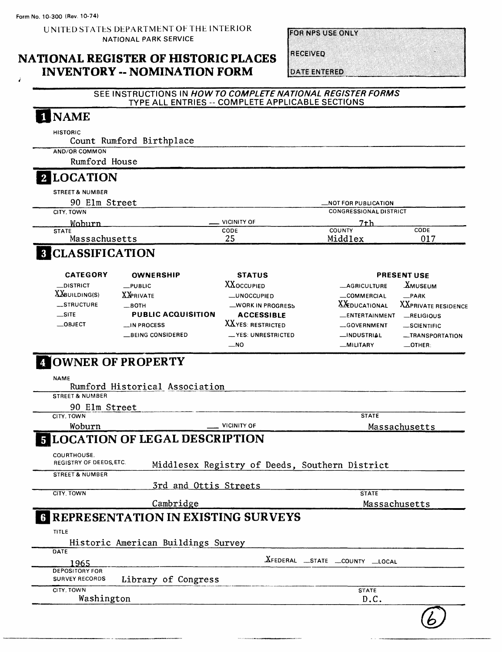Form No. 10-300 (Rev. 10-74)

UNITED STATES DEPARTMENT OF THE INTERIOR NATIONAL PARK SERVICE

**FORMES USE ON IV** 

NATIONAL REGISTER OF HISTORIC PLACES INVENTORY -- NOMINATION FORM

**RECEIVED** 

#### **DATE ENTERED** SEE INSTRUCTIONS IN **HOW TO COMPLETE NATIONAL REGISTER FORMS** TYPE ALL ENTRIES -- COMPLETE APPLICABLE SECTIONS **NAME** HISTORIC Count Rumford Birthplace AND/OR COMMON Rumford House\_\_\_\_\_\_\_\_\_\_\_\_\_\_\_\_\_\_\_\_\_\_\_\_\_\_\_\_\_\_\_\_\_\_\_\_\_\_ **LOCATION** STREET & NUMBER 90 Elm Street \_NOT FOR PUBLICATION CONGRESSIONAL DISTRICT CITY. TOWN VICINITY OF \_\_\_ Wohurn 7th COUNTY CODE **STATE** CODE Massachusetts 25 Middlex 017 **CLASSIFICATION CATEGORY** OWNERSHIP **STATUS** PRESENT USE —DISTRICT **XXOCCUPIED** \_ AGRICULTURE -XMUSEUM —PUBLIC  $X$ *building(s)* **XXPRIVATE** —UNOCCUPIED \_ COMMERCIAL —PARK XXEDUCATIONAL XXPRIVATE RESIDENCE —STRUCTURE  $-$ BOTH —WORK IN PROGRESS PUBLIC ACQUISITION  $\equiv$ SITE ACCESSIBLE —ENTERTAINMENT —RELIGIOUS —OBJECT XXYES: RESTRICTED —IN PROCESS —GOVERNMENT —SCIENTIFIC —BEING CONSIDERED \_YES: UNRESTRICTED —INDUSTRIAL —TRANSPORTATION  $\overline{\phantom{0}}$ NO —MILITARY —OTHER: OWNER OF PROPERTY NAME Rumford Historical Association STREET & NUMBER 90 Elm Street CITY. TOWN **STATE** Woburn <u>International Manuel Charles and American vicinity</u> of Massachusetts LOCATION OF LEGAL DESCRIPTION **COURTHOUSE** REGISTRY OF DEEDS, ETC Middlesex Registry of Deeds, Southern District STREET & NUMBER 3rd and Ottis Streets CITY. TOWN **STATE** Cambridge Massachusetts REPRESENTATION IN EXISTING SURVEYS

Historic American Buildings Survey

| DATE                  |                     |                             |
|-----------------------|---------------------|-----------------------------|
| 1965                  |                     | XFEDERAL STATE COUNTY LOCAL |
| <b>DEPOSITORY FOR</b> |                     |                             |
| <b>SURVEY RECORDS</b> | Library of Congress |                             |
| CITY. TOWN            |                     | <b>STATE</b>                |
| Washington            |                     | D.C                         |
|                       |                     |                             |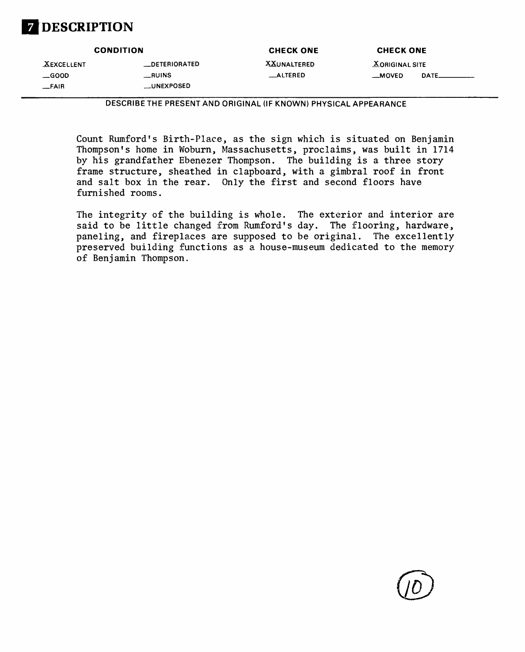# **DESCRIPTION**

| <b>CONDITION</b>  |                      | <b>CHECK ONE</b>   | <b>CHECK ONE</b>      |
|-------------------|----------------------|--------------------|-----------------------|
| <b>XEXCELLENT</b> | <b>LOETERIORATED</b> | <b>XXUNALTERED</b> | <b>XORIGINAL SITE</b> |
| $\equiv$ GOOD     | _RUINS               | __ALTERED          | DATE_<br>__MOVED      |
| __FAIR            | __UNEXPOSED          |                    |                       |

**DESCRIBE THE PRESENT AND ORIGINAL (IF KNOWN) PHYSICAL APPEARANCE**

Count Rumford's Birth-Place, as the sign which is situated on Benjamin Thompson's home in Woburn, Massachusetts, proclaims, was built in 1714 by his grandfather Ebenezer Thompson. The building is a three story frame structure, sheathed in clapboard, with a gimbral roof in front and salt box in the rear. Only the first and second floors have furnished rooms.

The integrity of the building is whole. The exterior and interior are said to be little changed from Rumford's day. The flooring, hardware, paneling, and fireplaces are supposed to be original. The excellently preserved building functions as a house-museum dedicated to the memory of Benjamin Thompson.

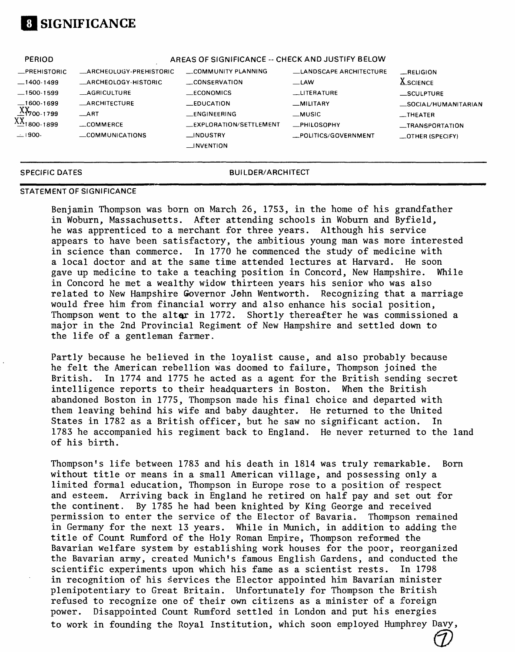

| PERIOD                  |                         | AREAS OF SIGNIFICANCE -- CHECK AND JUSTIFY BELOW |                        |                      |
|-------------------------|-------------------------|--------------------------------------------------|------------------------|----------------------|
| <b>_PREHISTORIC</b>     | _ARCHEOLOGY-PREHISTORIC | COMMUNITY PLANNING                               | LANDSCAPE ARCHITECTURE | RELIGION             |
| $-1400-1499$            | _ARCHEOLOGY-HISTORIC    | CONSERVATION                                     | $-LAW$                 | <b>X</b> SCIENCE     |
| $-1500-1599$            | <b>AGRICULTURE</b>      | $\_ECONOMICS$                                    | <b>LLITERATURE</b>     | _SCULPTURE           |
| $-1600-1699$            | <b>__ARCHITECTURE</b>   | <b>EDUCATION</b>                                 | $-MILITARY$            | _SOCIAL/HUMANITARIAN |
| $X_{700-1799}$          | $\_ART$                 | __ENGINEERING                                    | $-MUSIC$               | __THEATER            |
| XX <sub>1800-1899</sub> | $\equiv$ COMMERCE       | __EXPLORATION/SETTLEMENT                         | <b>_PHILOSOPHY</b>     | _TRANSPORTATION      |
| $-1900-$                | COMMUNICATIONS          | _INDUSTRY                                        | _POLITICS/GOVERNMENT   | _OTHER (SPECIFY)     |
|                         |                         | $\Box$ INVENTION                                 |                        |                      |
|                         |                         |                                                  |                        |                      |

### **SPECIFIC DATES BUILDER/ARCHITECT**

### **STATEMENT OF SIGNIFICANCE**

Benjamin Thompson was born on March 26, 1753, in the home of his grandfather in Woburn, Massachusetts. After attending schools in Woburn and Byfield, he was apprenticed to a merchant for three years. Although his service appears to have been satisfactory, the ambitious young man was more interested in science than commerce. In 1770 he commenced the study of medicine with a local doctor and at the same time attended lectures at Harvard. He soon gave up medicine to take a teaching position in Concord, New Hampshire. While in Concord he met a wealthy widow thirteen years his senior who was also related to New Hampshire Governor John Wentworth. Recognizing that a marriage would free him from financial worry and also enhance his social position, Thompson went to the alter in 1772. Shortly thereafter he was commissioned a major in the 2nd Provincial Regiment of New Hampshire and settled down to the life of a gentleman farmer.

Partly because he believed in the loyalist cause, and also probably because he felt the American rebellion was doomed to failure, Thompson joined the British. In 1774 and 1775 he acted as a agent for the British sending secret intelligence reports to their headquarters in Boston. When the British abandoned Boston in 1775, Thompson made his final choice and departed with them leaving behind his wife and baby daughter. He returned to the United States in 1782 as a British officer, but he saw no significant action. In 1783 he accompanied his regiment back to England. He never returned to the land of his birth.

Thompson's life between 1783 and his death in 1814 was truly remarkable. Born without title or means in a small American village, and possessing only a limited formal education, Thompson in Europe rose to a position of respect and esteem. Arriving back in England he retired on half pay and set out for the continent. By 1785 he had been knighted by King George and received permission to enter the service of the Elector of Bavaria. Thompson remained in Germany for the next 13 years. While in Munich, in addition to adding the title of Count Rumford of the Holy Roman Empire, Thompson reformed the Bavarian welfare system by establishing work houses for the poor, reorganized the Bavarian army, created Munich's famous English Gardens, and conducted the scientific experiments upon which his fame as a scientist rests. In 1798 in recognition of his services the Elector appointed him Bavarian minister plenipotentiary to Great Britain. Unfortunately for Thompson the British refused to recognize one of their own citizens as a minister of a foreign power. Disappointed Count Rumford settled in London and put his energies to work in founding the Royal Institution, which soon employed Humphrey Davy,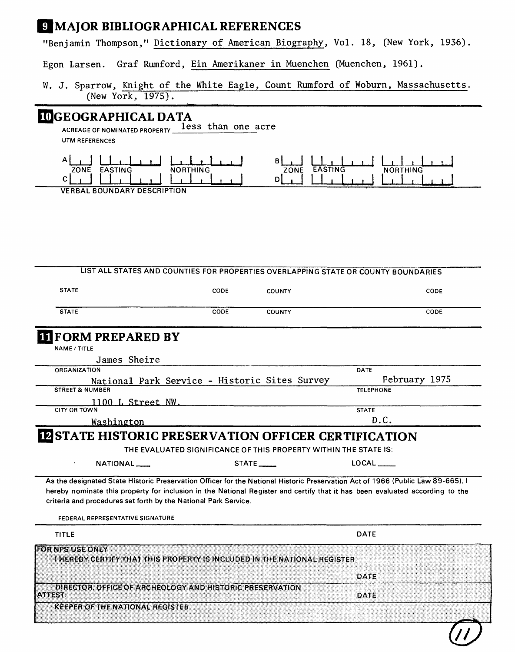### 9 MAJOR BIBLIOGRAPHICAL REFERENCES

"Benjamin Thompson," Dictionary of American Biography, Vol. 18, (New York, 1936).

Graf Rumford, Ein Amerikaner in Muenchen (Muenchen, 1961). Egon Larsen.

|  |                   |  |  |  |  | W. J. Sparrow, Knight of the White Eagle, Count Rumford of Woburn, Massachusetts. |
|--|-------------------|--|--|--|--|-----------------------------------------------------------------------------------|
|  | (New York, 1975). |  |  |  |  |                                                                                   |

## **IOGEOGRAPHICAL DATA**

ACREAGE OF NOMINATED PROPERTY less than one acre **UTM REFERENCES** 



**VERBAL BOUNDARY DESCRIPTION** 

|                                                                                                                                                                                                                                                                                                                                    |      |                                                                  | LIST ALL STATES AND COUNTIES FOR PROPERTIES OVERLAPPING STATE OR COUNTY BOUNDARIES |
|------------------------------------------------------------------------------------------------------------------------------------------------------------------------------------------------------------------------------------------------------------------------------------------------------------------------------------|------|------------------------------------------------------------------|------------------------------------------------------------------------------------|
| <b>STATE</b>                                                                                                                                                                                                                                                                                                                       | CODE | <b>COUNTY</b>                                                    | CODE                                                                               |
| <b>STATE</b>                                                                                                                                                                                                                                                                                                                       | CODE | <b>COUNTY</b>                                                    | CODE                                                                               |
| <b>TIFORM PREPARED BY</b>                                                                                                                                                                                                                                                                                                          |      |                                                                  |                                                                                    |
| NAME / TITLE                                                                                                                                                                                                                                                                                                                       |      |                                                                  |                                                                                    |
| James Sheire                                                                                                                                                                                                                                                                                                                       |      |                                                                  |                                                                                    |
| ORGANIZATION                                                                                                                                                                                                                                                                                                                       |      |                                                                  | DATE                                                                               |
| National Park Service - Historic Sites Survey                                                                                                                                                                                                                                                                                      |      |                                                                  | February 1975                                                                      |
| <b>STREET &amp; NUMBER</b>                                                                                                                                                                                                                                                                                                         |      |                                                                  | <b>TELEPHONE</b>                                                                   |
| 1100 L Street NW.                                                                                                                                                                                                                                                                                                                  |      |                                                                  |                                                                                    |
| <b>CITY OR TOWN</b>                                                                                                                                                                                                                                                                                                                |      |                                                                  | <b>STATE</b>                                                                       |
| Washington                                                                                                                                                                                                                                                                                                                         |      |                                                                  | D.C.                                                                               |
| <b>IZ STATE HISTORIC PRESERVATION OFFICER CERTIFICATION</b>                                                                                                                                                                                                                                                                        |      | THE EVALUATED SIGNIFICANCE OF THIS PROPERTY WITHIN THE STATE IS: |                                                                                    |
| NATIONAL____                                                                                                                                                                                                                                                                                                                       |      | STATE _____                                                      | LOCAL                                                                              |
| As the designated State Historic Preservation Officer for the National Historic Preservation Act of 1966 (Public Law 89-665). I<br>hereby nominate this property for inclusion in the National Register and certify that it has been evaluated according to the<br>criteria and procedures set forth by the National Park Service. |      |                                                                  |                                                                                    |
| FEDERAL REPRESENTATIVE SIGNATURE                                                                                                                                                                                                                                                                                                   |      |                                                                  |                                                                                    |
| <b>TITLE</b>                                                                                                                                                                                                                                                                                                                       |      |                                                                  | <b>DATE</b>                                                                        |
|                                                                                                                                                                                                                                                                                                                                    |      |                                                                  |                                                                                    |
| I HEREBY CERTIFY THAT THIS PROPERTY IS INCLUDED IN THE NATIONAL REGISTER                                                                                                                                                                                                                                                           |      |                                                                  |                                                                                    |
|                                                                                                                                                                                                                                                                                                                                    |      |                                                                  |                                                                                    |
|                                                                                                                                                                                                                                                                                                                                    |      |                                                                  | DATE                                                                               |
| <b>FOR NPS USE ONLY</b><br>DIRECTOR, OFFICE OF ARCHEOLOGY AND HISTORIC PRESERVATION<br>A MESSE                                                                                                                                                                                                                                     |      |                                                                  | DATE                                                                               |
| <b>KEEPER OF THE NATIONAL REGISTER</b>                                                                                                                                                                                                                                                                                             |      |                                                                  |                                                                                    |
|                                                                                                                                                                                                                                                                                                                                    |      |                                                                  |                                                                                    |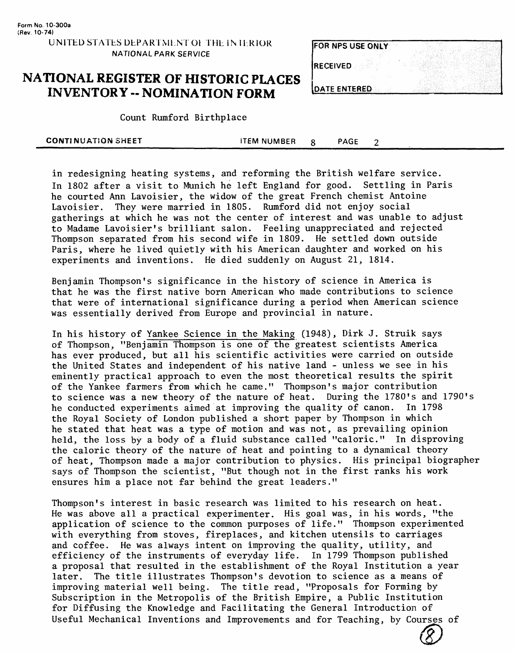### **NATIONAL REGISTER OF HISTORIC PLACES INVENTORY - NOMINATION FORM**

| <b>FOR NPS USE ONLY</b> |  |
|-------------------------|--|
| <b>RECEIVED</b>         |  |
|                         |  |
| <b>IDATE ENTERED</b>    |  |

Count Rumford Birthplace

| <b>CONTINUATION SHEET</b> | <b>ITEM NUMBER</b> | <b>PAGE</b> |  |  |
|---------------------------|--------------------|-------------|--|--|
|                           |                    |             |  |  |

in redesigning heating systems, and reforming the British welfare service. In 1802 after a visit to Munich he left England for good. Settling in Paris he courted Ann Lavoisier, the widow of the great French chemist Antoine Lavoisier. They were married in 1805. Rumford did not enjoy social gatherings at which he was not the center of interest and was unable to adjust to Madame Lavoisier's brilliant salon. Feeling unappreciated and rejected Thompson separated from his second wife in 1809. He settled down outside Paris, where he lived quietly with his American daughter and worked on his experiments and inventions. He died suddenly on August 21, 1814.

Benjamin Thompson's significance in the history of science in America is that he was the first native born American who made contributions to science that were of international significance during a period when American science was essentially derived from Europe and provincial in nature.

In his history of Yankee Science in the Making (1948), Dirk J. Struik says of Thompson, "Benjamin Thompson is one of the greatest scientists America has ever produced, but all his scientific activities were carried on outside the United States and independent of his native land - unless we see in his eminently practical approach to even the most theoretical results the spirit of the Yankee farmers from which he came." Thompson's major contribution to science was a new theory of the nature of heat. During the 1780's and 1790's he conducted experiments aimed at improving the quality of canon. In 1798 the Royal Society of London published a short paper by Thompson in which he stated that heat was a type of motion and was not, as prevailing opinion held, the loss by a body of a fluid substance called "caloric." In disproving the caloric theory of the nature of heat and pointing to a dynamical theory of heat, Thompson made a major contribution to physics. His principal biographer says of Thompson the scientist, "But though not in the first ranks his work ensures him a place not far behind the great leaders."

Thompson's interest in basic research was limited to his research on heat. He was above all a practical experimenter. His goal was, in his words, "the application of science to the common purposes of life." Thompson experimented with everything from stoves, fireplaces, and kitchen utensils to carriages and coffee. He was always intent on improving the quality, utility, and efficiency of the instruments of everyday life. In 1799 Thompson published a proposal that resulted in the establishment of the Royal Institution a year later. The title illustrates Thompson's devotion to science as a means of improving material well being. The title read, "Proposals for Forming by Subscription in the Metropolis of the British Empire, a Public Institution for Diffusing the Knowledge and Facilitating the General Introduction of Useful Mechanical Inventions and Improvements and for Teaching, by Courses of